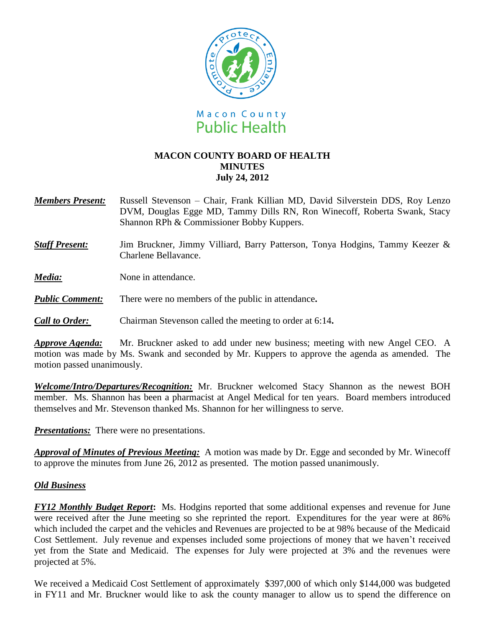

## **MACON COUNTY BOARD OF HEALTH MINUTES July 24, 2012**

- *Members Present:* Russell Stevenson Chair, Frank Killian MD, David Silverstein DDS, Roy Lenzo DVM, Douglas Egge MD, Tammy Dills RN, Ron Winecoff, Roberta Swank, Stacy Shannon RPh & Commissioner Bobby Kuppers.
- **Staff Present:** Jim Bruckner, Jimmy Villiard, Barry Patterson, Tonya Hodgins, Tammy Keezer & Charlene Bellavance.
- *Media:* None in attendance.
- *Public Comment:* There were no members of the public in attendance**.**
- *Call to Order:* Chairman Stevenson called the meeting to order at 6:14**.**

*Approve Agenda:* Mr. Bruckner asked to add under new business; meeting with new Angel CEO. A motion was made by Ms. Swank and seconded by Mr. Kuppers to approve the agenda as amended. The motion passed unanimously.

*Welcome/Intro/Departures/Recognition:* Mr. Bruckner welcomed Stacy Shannon as the newest BOH member. Ms. Shannon has been a pharmacist at Angel Medical for ten years. Board members introduced themselves and Mr. Stevenson thanked Ms. Shannon for her willingness to serve.

*Presentations:* There were no presentations.

*Approval of Minutes of Previous Meeting:*A motion was made by Dr. Egge and seconded by Mr. Winecoff to approve the minutes from June 26, 2012 as presented. The motion passed unanimously.

## *Old Business*

*FY12 Monthly Budget Report***:** Ms. Hodgins reported that some additional expenses and revenue for June were received after the June meeting so she reprinted the report. Expenditures for the year were at 86% which included the carpet and the vehicles and Revenues are projected to be at 98% because of the Medicaid Cost Settlement. July revenue and expenses included some projections of money that we haven't received yet from the State and Medicaid. The expenses for July were projected at 3% and the revenues were projected at 5%.

We received a Medicaid Cost Settlement of approximately \$397,000 of which only \$144,000 was budgeted in FY11 and Mr. Bruckner would like to ask the county manager to allow us to spend the difference on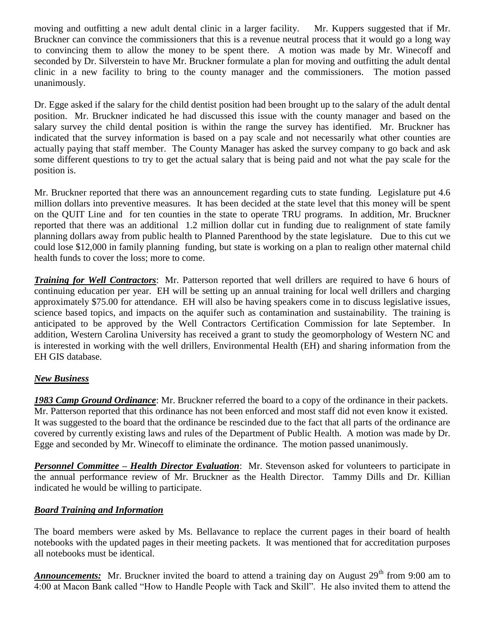moving and outfitting a new adult dental clinic in a larger facility. Mr. Kuppers suggested that if Mr. Bruckner can convince the commissioners that this is a revenue neutral process that it would go a long way to convincing them to allow the money to be spent there. A motion was made by Mr. Winecoff and seconded by Dr. Silverstein to have Mr. Bruckner formulate a plan for moving and outfitting the adult dental clinic in a new facility to bring to the county manager and the commissioners. The motion passed unanimously.

Dr. Egge asked if the salary for the child dentist position had been brought up to the salary of the adult dental position. Mr. Bruckner indicated he had discussed this issue with the county manager and based on the salary survey the child dental position is within the range the survey has identified. Mr. Bruckner has indicated that the survey information is based on a pay scale and not necessarily what other counties are actually paying that staff member. The County Manager has asked the survey company to go back and ask some different questions to try to get the actual salary that is being paid and not what the pay scale for the position is.

Mr. Bruckner reported that there was an announcement regarding cuts to state funding. Legislature put 4.6 million dollars into preventive measures. It has been decided at the state level that this money will be spent on the QUIT Line and for ten counties in the state to operate TRU programs. In addition, Mr. Bruckner reported that there was an additional 1.2 million dollar cut in funding due to realignment of state family planning dollars away from public health to Planned Parenthood by the state legislature. Due to this cut we could lose \$12,000 in family planning funding, but state is working on a plan to realign other maternal child health funds to cover the loss; more to come.

*Training for Well Contractors*: Mr. Patterson reported that well drillers are required to have 6 hours of continuing education per year. EH will be setting up an annual training for local well drillers and charging approximately \$75.00 for attendance. EH will also be having speakers come in to discuss legislative issues, science based topics, and impacts on the aquifer such as contamination and sustainability. The training is anticipated to be approved by the Well Contractors Certification Commission for late September. In addition, Western Carolina University has received a grant to study the geomorphology of Western NC and is interested in working with the well drillers, Environmental Health (EH) and sharing information from the EH GIS database.

## *New Business*

*1983 Camp Ground Ordinance*: Mr. Bruckner referred the board to a copy of the ordinance in their packets. Mr. Patterson reported that this ordinance has not been enforced and most staff did not even know it existed. It was suggested to the board that the ordinance be rescinded due to the fact that all parts of the ordinance are covered by currently existing laws and rules of the Department of Public Health. A motion was made by Dr. Egge and seconded by Mr. Winecoff to eliminate the ordinance. The motion passed unanimously.

*Personnel Committee – Health Director Evaluation*: Mr. Stevenson asked for volunteers to participate in the annual performance review of Mr. Bruckner as the Health Director. Tammy Dills and Dr. Killian indicated he would be willing to participate.

## *Board Training and Information*

The board members were asked by Ms. Bellavance to replace the current pages in their board of health notebooks with the updated pages in their meeting packets. It was mentioned that for accreditation purposes all notebooks must be identical.

**Announcements:** Mr. Bruckner invited the board to attend a training day on August 29<sup>th</sup> from 9:00 am to 4:00 at Macon Bank called "How to Handle People with Tack and Skill". He also invited them to attend the